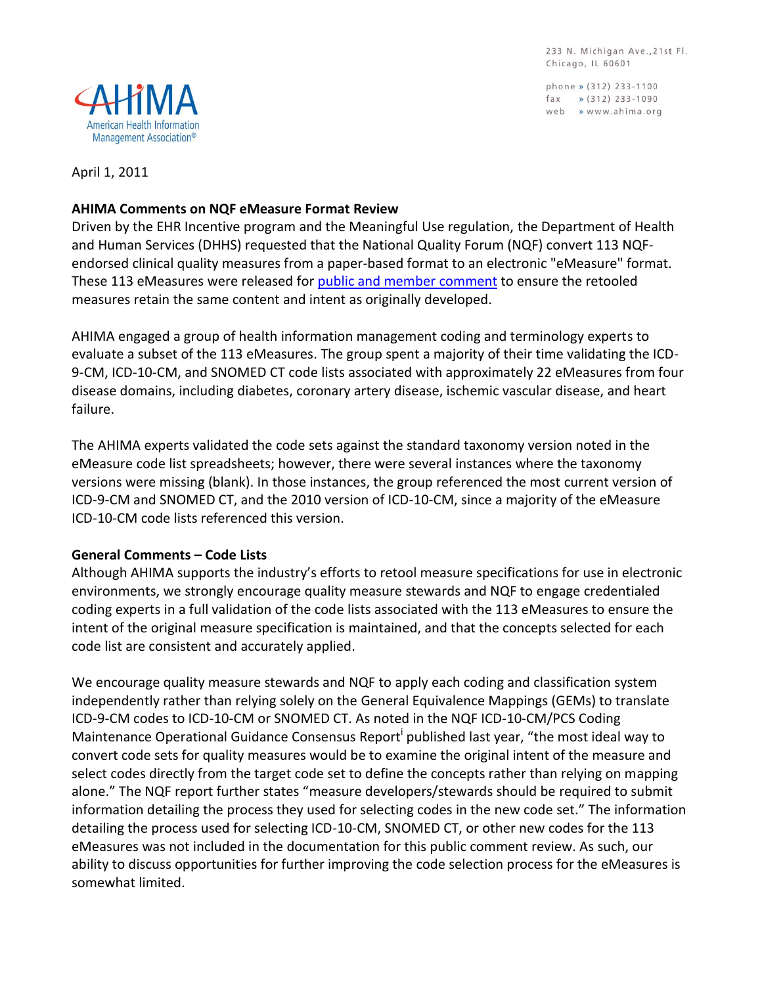233 N. Michigan Ave., 21st Fl. Chicago, IL 60601

phone » (312) 233-1100 fax  $\sqrt{312}$  233-1090 web » www.ahima.org



April 1, 2011

### **AHIMA Comments on NQF eMeasure Format Review**

Driven by the EHR Incentive program and the Meaningful Use regulation, the Department of Health and Human Services (DHHS) requested that the National Quality Forum (NQF) convert 113 NQFendorsed clinical quality measures from a paper-based format to an electronic "eMeasure" format. These 113 eMeasures were released for [public and member](http://www.qualityforum.org/Projects/e-g/eMeasures/Electronic_Quality_Measures.aspx?section=PublicandMemberComment2011-02-012011-04-01) comment to ensure the retooled measures retain the same content and intent as originally developed.

AHIMA engaged a group of health information management coding and terminology experts to evaluate a subset of the 113 eMeasures. The group spent a majority of their time validating the ICD-9-CM, ICD-10-CM, and SNOMED CT code lists associated with approximately 22 eMeasures from four disease domains, including diabetes, coronary artery disease, ischemic vascular disease, and heart failure.

The AHIMA experts validated the code sets against the standard taxonomy version noted in the eMeasure code list spreadsheets; however, there were several instances where the taxonomy versions were missing (blank). In those instances, the group referenced the most current version of ICD-9-CM and SNOMED CT, and the 2010 version of ICD-10-CM, since a majority of the eMeasure ICD-10-CM code lists referenced this version.

## **General Comments – Code Lists**

Although AHIMA supports the industry's efforts to retool measure specifications for use in electronic environments, we strongly encourage quality measure stewards and NQF to engage credentialed coding experts in a full validation of the code lists associated with the 113 eMeasures to ensure the intent of the original measure specification is maintained, and that the concepts selected for each code list are consistent and accurately applied.

We encourage quality measure stewards and NQF to apply each coding and classification system independently rather than relying solely on the General Equivalence Mappings (GEMs) to translate ICD-9-CM codes to ICD-10-CM or SNOMED CT. As noted in the NQF ICD-10-CM/PCS Coding Maintenance Operational Guidance Consensus Report<sup>i</sup> published last year, "the most ideal way to convert code sets for quality measures would be to examine the original intent of the measure and select codes directly from the target code set to define the concepts rather than relying on mapping alone." The NQF report further states "measure developers/stewards should be required to submit information detailing the process they used for selecting codes in the new code set." The information detailing the process used for selecting ICD-10-CM, SNOMED CT, or other new codes for the 113 eMeasures was not included in the documentation for this public comment review. As such, our ability to discuss opportunities for further improving the code selection process for the eMeasures is somewhat limited.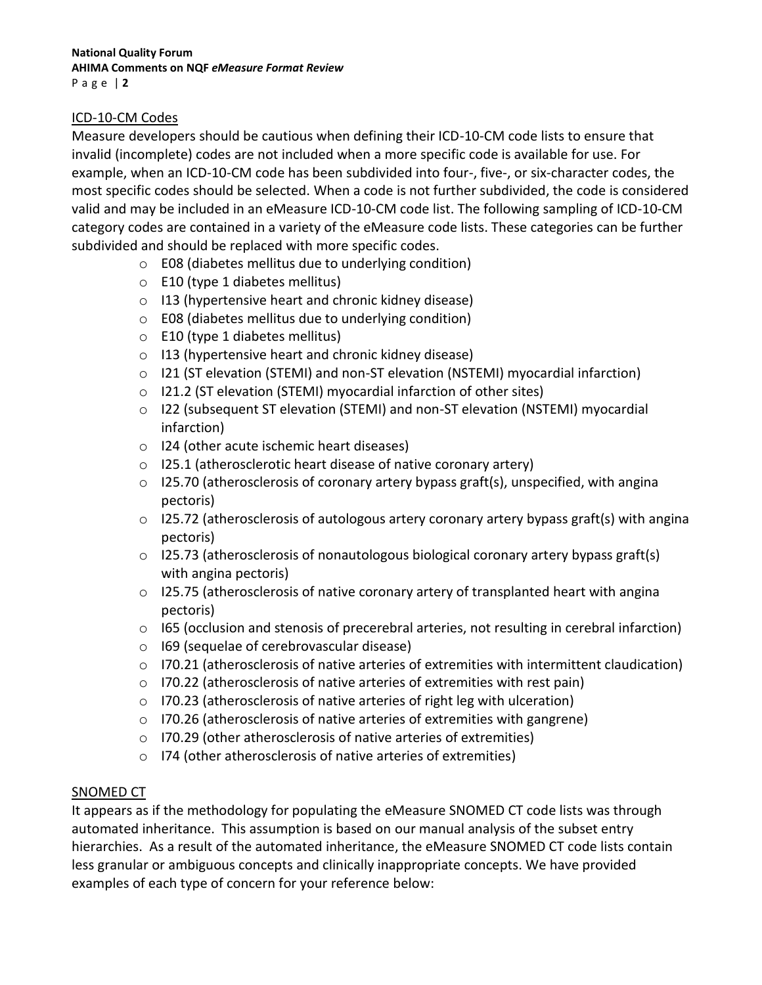### ICD-10-CM Codes

Measure developers should be cautious when defining their ICD-10-CM code lists to ensure that invalid (incomplete) codes are not included when a more specific code is available for use. For example, when an ICD-10-CM code has been subdivided into four-, five-, or six-character codes, the most specific codes should be selected. When a code is not further subdivided, the code is considered valid and may be included in an eMeasure ICD-10-CM code list. The following sampling of ICD-10-CM category codes are contained in a variety of the eMeasure code lists. These categories can be further subdivided and should be replaced with more specific codes.

- o E08 (diabetes mellitus due to underlying condition)
- o E10 (type 1 diabetes mellitus)
- o I13 (hypertensive heart and chronic kidney disease)
- o E08 (diabetes mellitus due to underlying condition)
- o E10 (type 1 diabetes mellitus)
- o I13 (hypertensive heart and chronic kidney disease)
- o I21 (ST elevation (STEMI) and non-ST elevation (NSTEMI) myocardial infarction)
- o I21.2 (ST elevation (STEMI) myocardial infarction of other sites)
- o I22 (subsequent ST elevation (STEMI) and non-ST elevation (NSTEMI) myocardial infarction)
- o I24 (other acute ischemic heart diseases)
- o I25.1 (atherosclerotic heart disease of native coronary artery)
- $\circ$  125.70 (atherosclerosis of coronary artery bypass graft(s), unspecified, with angina pectoris)
- o I25.72 (atherosclerosis of autologous artery coronary artery bypass graft(s) with angina pectoris)
- $\circ$  125.73 (atherosclerosis of nonautologous biological coronary artery bypass graft(s) with angina pectoris)
- $\circ$  125.75 (atherosclerosis of native coronary artery of transplanted heart with angina pectoris)
- $\circ$  165 (occlusion and stenosis of precerebral arteries, not resulting in cerebral infarction)
- o I69 (sequelae of cerebrovascular disease)
- o I70.21 (atherosclerosis of native arteries of extremities with intermittent claudication)
- o I70.22 (atherosclerosis of native arteries of extremities with rest pain)
- o I70.23 (atherosclerosis of native arteries of right leg with ulceration)
- o I70.26 (atherosclerosis of native arteries of extremities with gangrene)
- o I70.29 (other atherosclerosis of native arteries of extremities)
- o I74 (other atherosclerosis of native arteries of extremities)

### SNOMED CT

It appears as if the methodology for populating the eMeasure SNOMED CT code lists was through automated inheritance. This assumption is based on our manual analysis of the subset entry hierarchies. As a result of the automated inheritance, the eMeasure SNOMED CT code lists contain less granular or ambiguous concepts and clinically inappropriate concepts. We have provided examples of each type of concern for your reference below: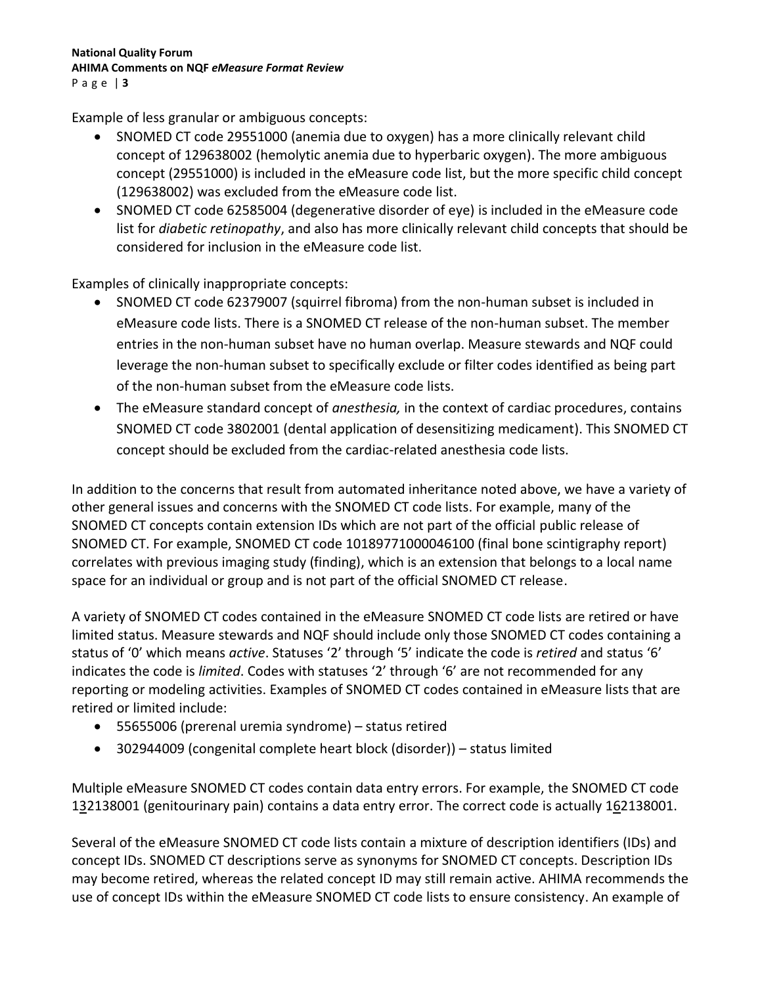Example of less granular or ambiguous concepts:

- SNOMED CT code 29551000 (anemia due to oxygen) has a more clinically relevant child concept of 129638002 (hemolytic anemia due to hyperbaric oxygen). The more ambiguous concept (29551000) is included in the eMeasure code list, but the more specific child concept (129638002) was excluded from the eMeasure code list.
- SNOMED CT code 62585004 (degenerative disorder of eye) is included in the eMeasure code list for *diabetic retinopathy*, and also has more clinically relevant child concepts that should be considered for inclusion in the eMeasure code list.

Examples of clinically inappropriate concepts:

- SNOMED CT code 62379007 (squirrel fibroma) from the non-human subset is included in eMeasure code lists. There is a SNOMED CT release of the non-human subset. The member entries in the non-human subset have no human overlap. Measure stewards and NQF could leverage the non-human subset to specifically exclude or filter codes identified as being part of the non-human subset from the eMeasure code lists.
- The eMeasure standard concept of *anesthesia,* in the context of cardiac procedures, contains SNOMED CT code 3802001 (dental application of desensitizing medicament). This SNOMED CT concept should be excluded from the cardiac-related anesthesia code lists.

In addition to the concerns that result from automated inheritance noted above, we have a variety of other general issues and concerns with the SNOMED CT code lists. For example, many of the SNOMED CT concepts contain extension IDs which are not part of the official public release of SNOMED CT. For example, SNOMED CT code 10189771000046100 (final bone scintigraphy report) correlates with previous imaging study (finding), which is an extension that belongs to a local name space for an individual or group and is not part of the official SNOMED CT release.

A variety of SNOMED CT codes contained in the eMeasure SNOMED CT code lists are retired or have limited status. Measure stewards and NQF should include only those SNOMED CT codes containing a status of '0' which means *active*. Statuses '2' through '5' indicate the code is *retired* and status '6' indicates the code is *limited*. Codes with statuses '2' through '6' are not recommended for any reporting or modeling activities. Examples of SNOMED CT codes contained in eMeasure lists that are retired or limited include:

- 55655006 (prerenal uremia syndrome) status retired
- 302944009 (congenital complete heart block (disorder)) status limited

Multiple eMeasure SNOMED CT codes contain data entry errors. For example, the SNOMED CT code 132138001 (genitourinary pain) contains a data entry error. The correct code is actually 162138001.

Several of the eMeasure SNOMED CT code lists contain a mixture of description identifiers (IDs) and concept IDs. SNOMED CT descriptions serve as synonyms for SNOMED CT concepts. Description IDs may become retired, whereas the related concept ID may still remain active. AHIMA recommends the use of concept IDs within the eMeasure SNOMED CT code lists to ensure consistency. An example of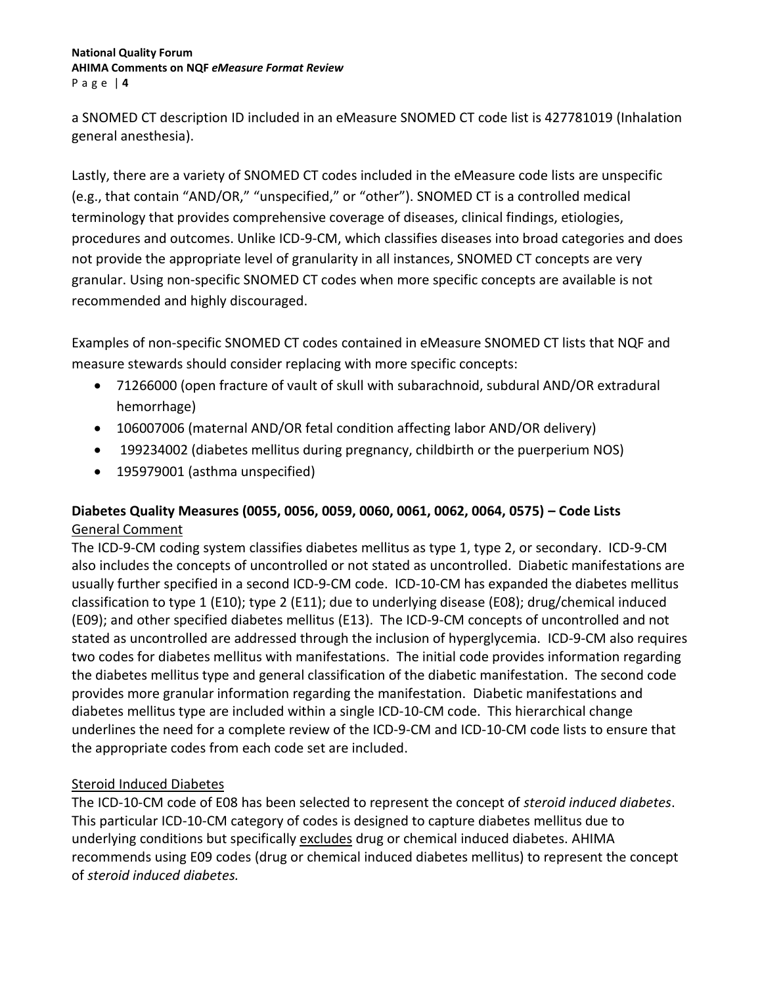a SNOMED CT description ID included in an eMeasure SNOMED CT code list is 427781019 (Inhalation general anesthesia).

Lastly, there are a variety of SNOMED CT codes included in the eMeasure code lists are unspecific (e.g., that contain "AND/OR," "unspecified," or "other"). SNOMED CT is a controlled medical terminology that provides comprehensive coverage of diseases, clinical findings, etiologies, procedures and outcomes. Unlike ICD-9-CM, which classifies diseases into broad categories and does not provide the appropriate level of granularity in all instances, SNOMED CT concepts are very granular. Using non-specific SNOMED CT codes when more specific concepts are available is not recommended and highly discouraged.

Examples of non-specific SNOMED CT codes contained in eMeasure SNOMED CT lists that NQF and measure stewards should consider replacing with more specific concepts:

- 71266000 (open fracture of vault of skull with subarachnoid, subdural AND/OR extradural hemorrhage)
- 106007006 (maternal AND/OR fetal condition affecting labor AND/OR delivery)
- 199234002 (diabetes mellitus during pregnancy, childbirth or the puerperium NOS)
- 195979001 (asthma unspecified)

# **Diabetes Quality Measures (0055, 0056, 0059, 0060, 0061, 0062, 0064, 0575) – Code Lists** General Comment

The ICD-9-CM coding system classifies diabetes mellitus as type 1, type 2, or secondary. ICD-9-CM also includes the concepts of uncontrolled or not stated as uncontrolled. Diabetic manifestations are usually further specified in a second ICD-9-CM code. ICD-10-CM has expanded the diabetes mellitus classification to type 1 (E10); type 2 (E11); due to underlying disease (E08); drug/chemical induced (E09); and other specified diabetes mellitus (E13). The ICD-9-CM concepts of uncontrolled and not stated as uncontrolled are addressed through the inclusion of hyperglycemia. ICD-9-CM also requires two codes for diabetes mellitus with manifestations. The initial code provides information regarding the diabetes mellitus type and general classification of the diabetic manifestation. The second code provides more granular information regarding the manifestation. Diabetic manifestations and diabetes mellitus type are included within a single ICD-10-CM code. This hierarchical change underlines the need for a complete review of the ICD-9-CM and ICD-10-CM code lists to ensure that the appropriate codes from each code set are included.

# Steroid Induced Diabetes

The ICD-10-CM code of E08 has been selected to represent the concept of *steroid induced diabetes*. This particular ICD-10-CM category of codes is designed to capture diabetes mellitus due to underlying conditions but specifically excludes drug or chemical induced diabetes. AHIMA recommends using E09 codes (drug or chemical induced diabetes mellitus) to represent the concept of *steroid induced diabetes.*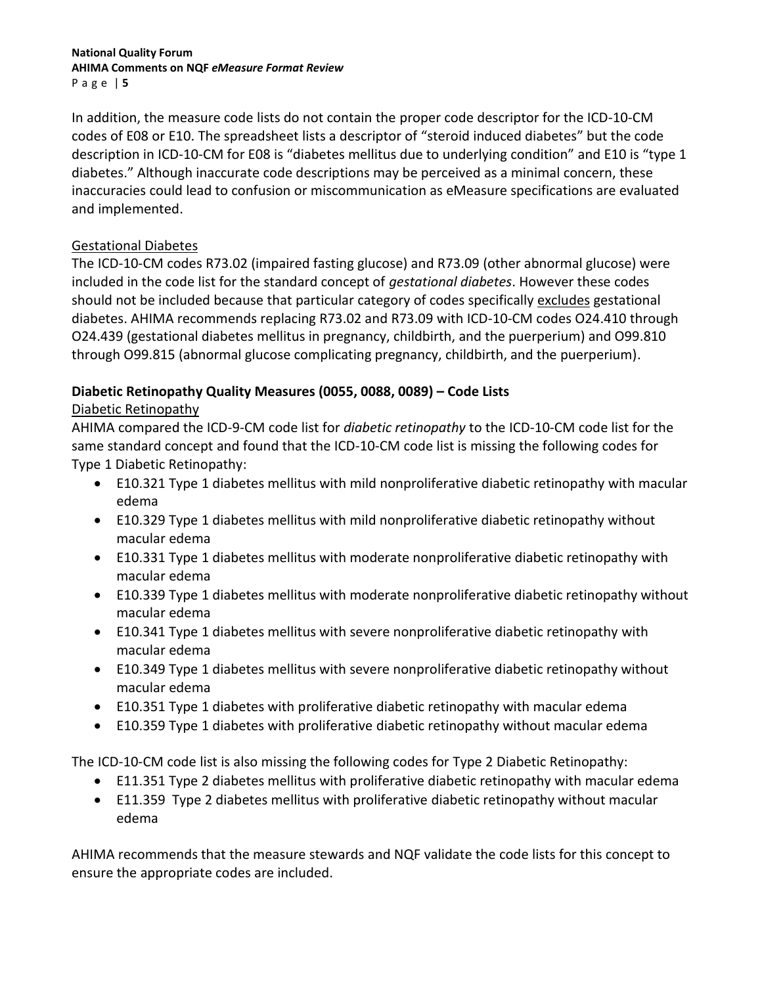In addition, the measure code lists do not contain the proper code descriptor for the ICD-10-CM codes of E08 or E10. The spreadsheet lists a descriptor of "steroid induced diabetes" but the code description in ICD-10-CM for E08 is "diabetes mellitus due to underlying condition" and E10 is "type 1 diabetes." Although inaccurate code descriptions may be perceived as a minimal concern, these inaccuracies could lead to confusion or miscommunication as eMeasure specifications are evaluated and implemented.

## Gestational Diabetes

The ICD-10-CM codes R73.02 (impaired fasting glucose) and R73.09 (other abnormal glucose) were included in the code list for the standard concept of *gestational diabetes*. However these codes should not be included because that particular category of codes specifically excludes gestational diabetes. AHIMA recommends replacing R73.02 and R73.09 with ICD-10-CM codes O24.410 through O24.439 (gestational diabetes mellitus in pregnancy, childbirth, and the puerperium) and O99.810 through O99.815 (abnormal glucose complicating pregnancy, childbirth, and the puerperium).

# **Diabetic Retinopathy Quality Measures (0055, 0088, 0089) – Code Lists**

# Diabetic Retinopathy

AHIMA compared the ICD-9-CM code list for *diabetic retinopathy* to the ICD-10-CM code list for the same standard concept and found that the ICD-10-CM code list is missing the following codes for Type 1 Diabetic Retinopathy:

- E10.321 Type 1 diabetes mellitus with mild nonproliferative diabetic retinopathy with macular edema
- E10.329 Type 1 diabetes mellitus with mild nonproliferative diabetic retinopathy without macular edema
- E10.331 Type 1 diabetes mellitus with moderate nonproliferative diabetic retinopathy with macular edema
- E10.339 Type 1 diabetes mellitus with moderate nonproliferative diabetic retinopathy without macular edema
- E10.341 Type 1 diabetes mellitus with severe nonproliferative diabetic retinopathy with macular edema
- E10.349 Type 1 diabetes mellitus with severe nonproliferative diabetic retinopathy without macular edema
- E10.351 Type 1 diabetes with proliferative diabetic retinopathy with macular edema
- E10.359 Type 1 diabetes with proliferative diabetic retinopathy without macular edema

The ICD-10-CM code list is also missing the following codes for Type 2 Diabetic Retinopathy:

- E11.351 Type 2 diabetes mellitus with proliferative diabetic retinopathy with macular edema
- E11.359 Type 2 diabetes mellitus with proliferative diabetic retinopathy without macular edema

AHIMA recommends that the measure stewards and NQF validate the code lists for this concept to ensure the appropriate codes are included.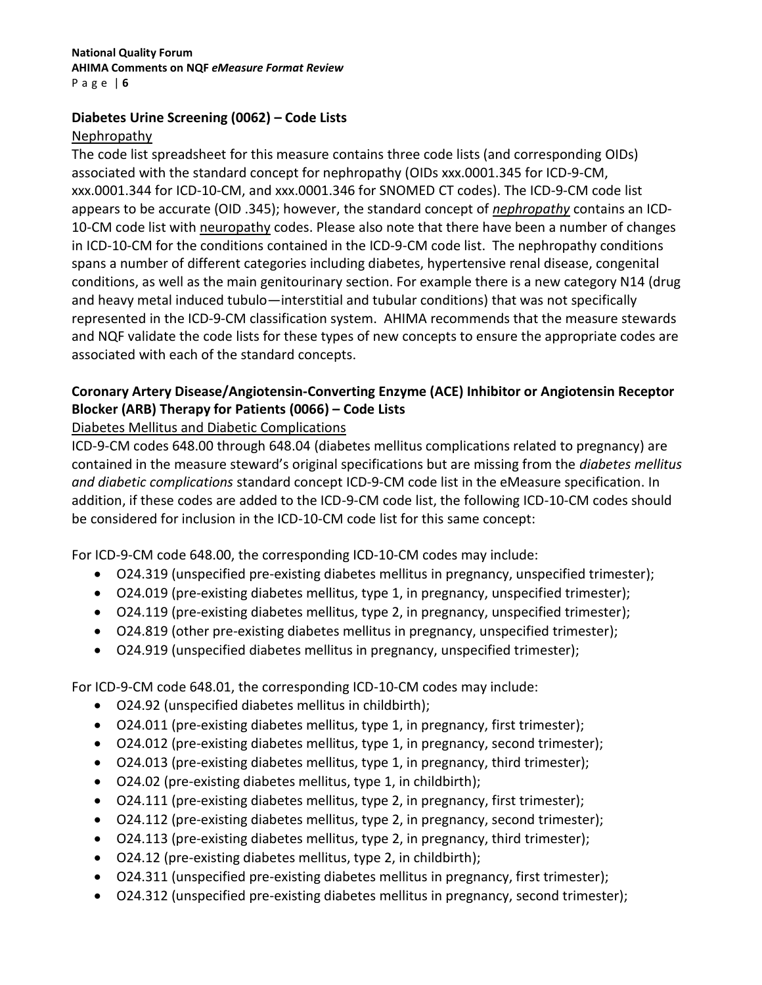### **Diabetes Urine Screening (0062) – Code Lists** Nephropathy

The code list spreadsheet for this measure contains three code lists (and corresponding OIDs) associated with the standard concept for nephropathy (OIDs xxx.0001.345 for ICD-9-CM, xxx.0001.344 for ICD-10-CM, and xxx.0001.346 for SNOMED CT codes). The ICD-9-CM code list appears to be accurate (OID .345); however, the standard concept of *nephropathy* contains an ICD-10-CM code list with neuropathy codes. Please also note that there have been a number of changes in ICD-10-CM for the conditions contained in the ICD-9-CM code list. The nephropathy conditions spans a number of different categories including diabetes, hypertensive renal disease, congenital conditions, as well as the main genitourinary section. For example there is a new category N14 (drug and heavy metal induced tubulo—interstitial and tubular conditions) that was not specifically represented in the ICD-9-CM classification system. AHIMA recommends that the measure stewards and NQF validate the code lists for these types of new concepts to ensure the appropriate codes are associated with each of the standard concepts.

# **Coronary Artery Disease/Angiotensin-Converting Enzyme (ACE) Inhibitor or Angiotensin Receptor Blocker (ARB) Therapy for Patients (0066) – Code Lists**

## Diabetes Mellitus and Diabetic Complications

ICD-9-CM codes 648.00 through 648.04 (diabetes mellitus complications related to pregnancy) are contained in the measure steward's original specifications but are missing from the *diabetes mellitus and diabetic complications* standard concept ICD-9-CM code list in the eMeasure specification. In addition, if these codes are added to the ICD-9-CM code list, the following ICD-10-CM codes should be considered for inclusion in the ICD-10-CM code list for this same concept:

For ICD-9-CM code 648.00, the corresponding ICD-10-CM codes may include:

- O24.319 (unspecified pre-existing diabetes mellitus in pregnancy, unspecified trimester);
- O24.019 (pre-existing diabetes mellitus, type 1, in pregnancy, unspecified trimester);
- O24.119 (pre-existing diabetes mellitus, type 2, in pregnancy, unspecified trimester);
- O24.819 (other pre-existing diabetes mellitus in pregnancy, unspecified trimester);
- O24.919 (unspecified diabetes mellitus in pregnancy, unspecified trimester);

For ICD-9-CM code 648.01, the corresponding ICD-10-CM codes may include:

- O24.92 (unspecified diabetes mellitus in childbirth);
- O24.011 (pre-existing diabetes mellitus, type 1, in pregnancy, first trimester);
- O24.012 (pre-existing diabetes mellitus, type 1, in pregnancy, second trimester);
- O24.013 (pre-existing diabetes mellitus, type 1, in pregnancy, third trimester);
- O24.02 (pre-existing diabetes mellitus, type 1, in childbirth);
- O24.111 (pre-existing diabetes mellitus, type 2, in pregnancy, first trimester);
- O24.112 (pre-existing diabetes mellitus, type 2, in pregnancy, second trimester);
- O24.113 (pre-existing diabetes mellitus, type 2, in pregnancy, third trimester);
- O24.12 (pre-existing diabetes mellitus, type 2, in childbirth);
- O24.311 (unspecified pre-existing diabetes mellitus in pregnancy, first trimester);
- O24.312 (unspecified pre-existing diabetes mellitus in pregnancy, second trimester);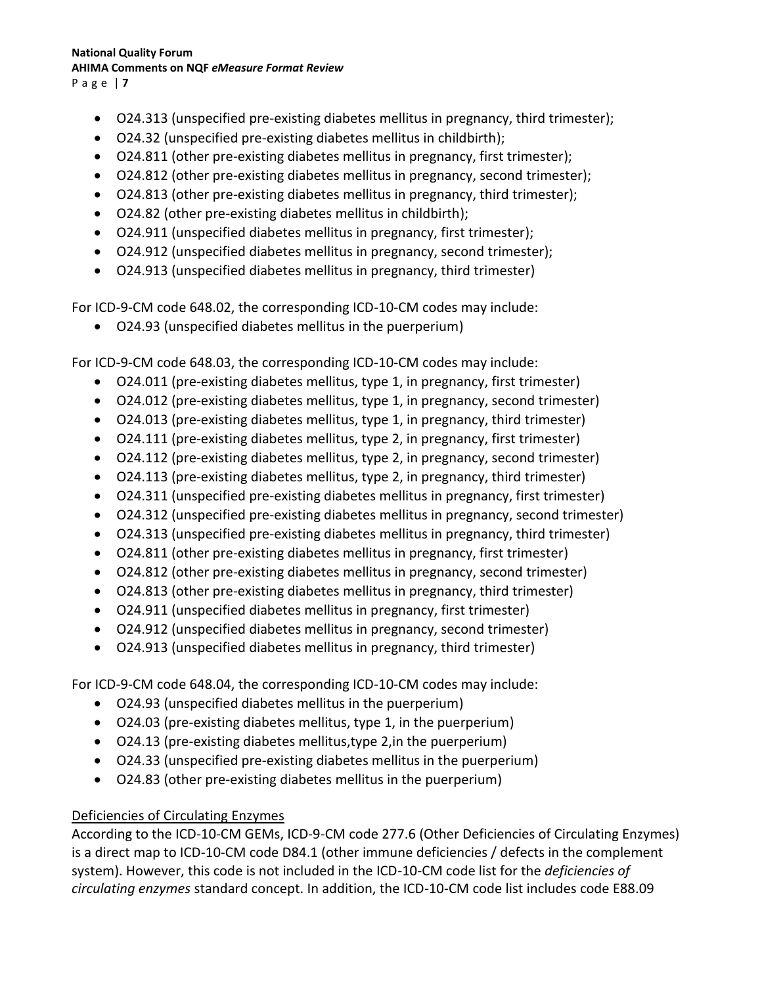- P a g e | **7**
	- O24.313 (unspecified pre-existing diabetes mellitus in pregnancy, third trimester);
	- O24.32 (unspecified pre-existing diabetes mellitus in childbirth);
	- O24.811 (other pre-existing diabetes mellitus in pregnancy, first trimester);
	- O24.812 (other pre-existing diabetes mellitus in pregnancy, second trimester);
	- O24.813 (other pre-existing diabetes mellitus in pregnancy, third trimester);
	- O24.82 (other pre-existing diabetes mellitus in childbirth);
	- O24.911 (unspecified diabetes mellitus in pregnancy, first trimester);
	- O24.912 (unspecified diabetes mellitus in pregnancy, second trimester);
	- O24.913 (unspecified diabetes mellitus in pregnancy, third trimester)

For ICD-9-CM code 648.02, the corresponding ICD-10-CM codes may include:

O24.93 (unspecified diabetes mellitus in the puerperium)

For ICD-9-CM code 648.03, the corresponding ICD-10-CM codes may include:

- O24.011 (pre-existing diabetes mellitus, type 1, in pregnancy, first trimester)
- O24.012 (pre-existing diabetes mellitus, type 1, in pregnancy, second trimester)
- O24.013 (pre-existing diabetes mellitus, type 1, in pregnancy, third trimester)
- O24.111 (pre-existing diabetes mellitus, type 2, in pregnancy, first trimester)
- O24.112 (pre-existing diabetes mellitus, type 2, in pregnancy, second trimester)
- O24.113 (pre-existing diabetes mellitus, type 2, in pregnancy, third trimester)
- O24.311 (unspecified pre-existing diabetes mellitus in pregnancy, first trimester)
- O24.312 (unspecified pre-existing diabetes mellitus in pregnancy, second trimester)
- O24.313 (unspecified pre-existing diabetes mellitus in pregnancy, third trimester)
- O24.811 (other pre-existing diabetes mellitus in pregnancy, first trimester)
- O24.812 (other pre-existing diabetes mellitus in pregnancy, second trimester)
- O24.813 (other pre-existing diabetes mellitus in pregnancy, third trimester)
- O24.911 (unspecified diabetes mellitus in pregnancy, first trimester)
- O24.912 (unspecified diabetes mellitus in pregnancy, second trimester)
- O24.913 (unspecified diabetes mellitus in pregnancy, third trimester)

For ICD-9-CM code 648.04, the corresponding ICD-10-CM codes may include:

- O24.93 (unspecified diabetes mellitus in the puerperium)
- O24.03 (pre-existing diabetes mellitus, type 1, in the puerperium)
- O24.13 (pre-existing diabetes mellitus,type 2,in the puerperium)
- O24.33 (unspecified pre-existing diabetes mellitus in the puerperium)
- O24.83 (other pre-existing diabetes mellitus in the puerperium)

### Deficiencies of Circulating Enzymes

According to the ICD-10-CM GEMs, ICD-9-CM code 277.6 (Other Deficiencies of Circulating Enzymes) is a direct map to ICD-10-CM code D84.1 (other immune deficiencies / defects in the complement system). However, this code is not included in the ICD-10-CM code list for the *deficiencies of circulating enzymes* standard concept. In addition, the ICD-10-CM code list includes code E88.09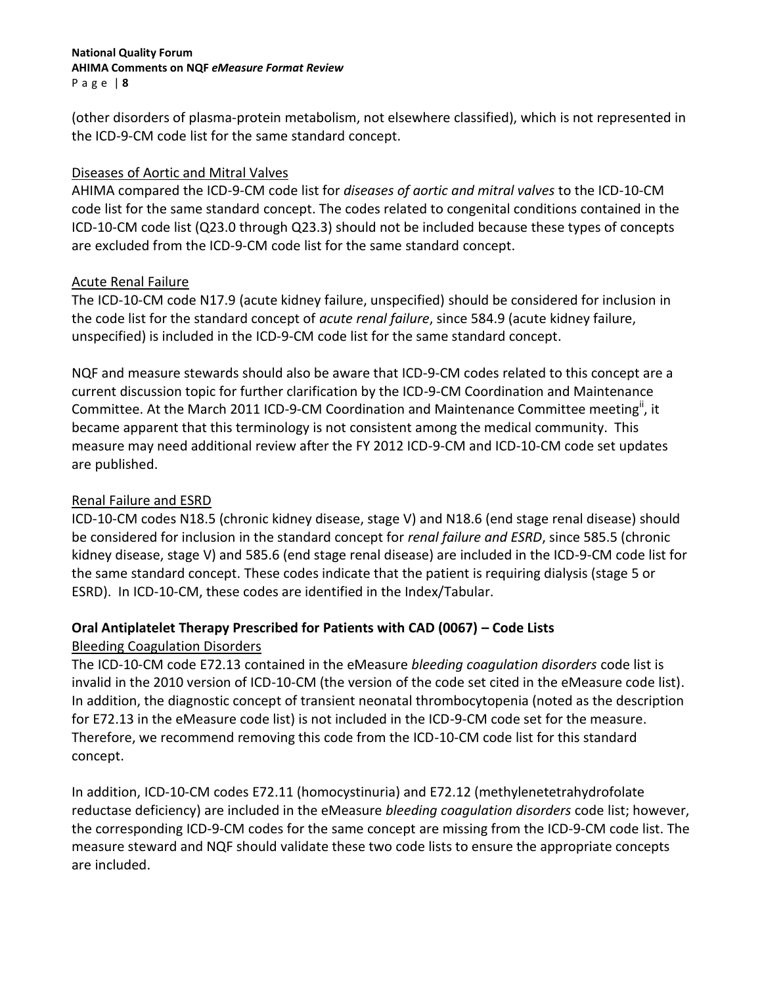P a g e | **8**

(other disorders of plasma-protein metabolism, not elsewhere classified), which is not represented in the ICD-9-CM code list for the same standard concept.

### Diseases of Aortic and Mitral Valves

AHIMA compared the ICD-9-CM code list for *diseases of aortic and mitral valves* to the ICD-10-CM code list for the same standard concept. The codes related to congenital conditions contained in the ICD-10-CM code list (Q23.0 through Q23.3) should not be included because these types of concepts are excluded from the ICD-9-CM code list for the same standard concept.

### Acute Renal Failure

The ICD-10-CM code N17.9 (acute kidney failure, unspecified) should be considered for inclusion in the code list for the standard concept of *acute renal failure*, since 584.9 (acute kidney failure, unspecified) is included in the ICD-9-CM code list for the same standard concept.

NQF and measure stewards should also be aware that ICD-9-CM codes related to this concept are a current discussion topic for further clarification by the ICD-9-CM Coordination and Maintenance Committee. At the March 2011 ICD-9-CM Coordination and Maintenance Committee meeting", it became apparent that this terminology is not consistent among the medical community. This measure may need additional review after the FY 2012 ICD-9-CM and ICD-10-CM code set updates are published.

### Renal Failure and ESRD

ICD-10-CM codes N18.5 (chronic kidney disease, stage V) and N18.6 (end stage renal disease) should be considered for inclusion in the standard concept for *renal failure and ESRD*, since 585.5 (chronic kidney disease, stage V) and 585.6 (end stage renal disease) are included in the ICD-9-CM code list for the same standard concept. These codes indicate that the patient is requiring dialysis (stage 5 or ESRD). In ICD-10-CM, these codes are identified in the Index/Tabular.

## **Oral Antiplatelet Therapy Prescribed for Patients with CAD (0067) – Code Lists**

## Bleeding Coagulation Disorders

The ICD-10-CM code E72.13 contained in the eMeasure *bleeding coagulation disorders* code list is invalid in the 2010 version of ICD-10-CM (the version of the code set cited in the eMeasure code list). In addition, the diagnostic concept of transient neonatal thrombocytopenia (noted as the description for E72.13 in the eMeasure code list) is not included in the ICD-9-CM code set for the measure. Therefore, we recommend removing this code from the ICD-10-CM code list for this standard concept.

In addition, ICD-10-CM codes E72.11 (homocystinuria) and E72.12 (methylenetetrahydrofolate reductase deficiency) are included in the eMeasure *bleeding coagulation disorders* code list; however, the corresponding ICD-9-CM codes for the same concept are missing from the ICD-9-CM code list. The measure steward and NQF should validate these two code lists to ensure the appropriate concepts are included.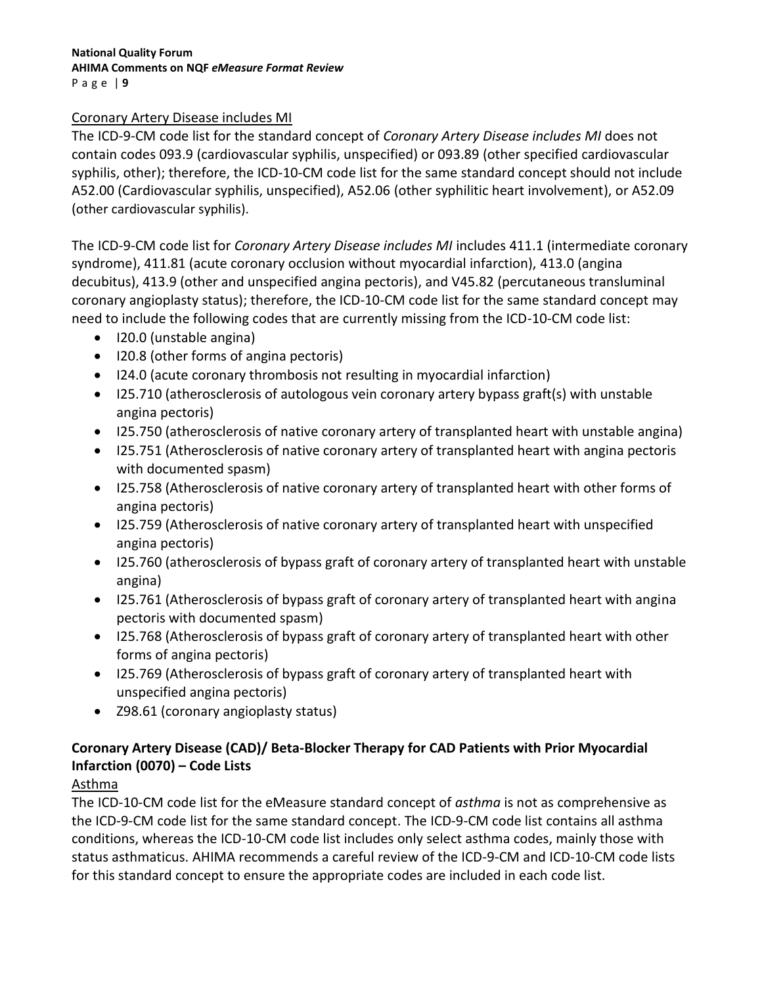### Coronary Artery Disease includes MI

The ICD-9-CM code list for the standard concept of *Coronary Artery Disease includes MI* does not contain codes 093.9 (cardiovascular syphilis, unspecified) or 093.89 (other specified cardiovascular syphilis, other); therefore, the ICD-10-CM code list for the same standard concept should not include A52.00 (Cardiovascular syphilis, unspecified), A52.06 (other syphilitic heart involvement), or A52.09 (other cardiovascular syphilis).

The ICD-9-CM code list for *Coronary Artery Disease includes MI* includes 411.1 (intermediate coronary syndrome), 411.81 (acute coronary occlusion without myocardial infarction), 413.0 (angina decubitus), 413.9 (other and unspecified angina pectoris), and V45.82 (percutaneous transluminal coronary angioplasty status); therefore, the ICD-10-CM code list for the same standard concept may need to include the following codes that are currently missing from the ICD-10-CM code list:

- I20.0 (unstable angina)
- I20.8 (other forms of angina pectoris)
- I24.0 (acute coronary thrombosis not resulting in myocardial infarction)
- I25.710 (atherosclerosis of autologous vein coronary artery bypass graft(s) with unstable angina pectoris)
- I25.750 (atherosclerosis of native coronary artery of transplanted heart with unstable angina)
- I25.751 (Atherosclerosis of native coronary artery of transplanted heart with angina pectoris with documented spasm)
- I25.758 (Atherosclerosis of native coronary artery of transplanted heart with other forms of angina pectoris)
- I25.759 (Atherosclerosis of native coronary artery of transplanted heart with unspecified angina pectoris)
- I25.760 (atherosclerosis of bypass graft of coronary artery of transplanted heart with unstable angina)
- I25.761 (Atherosclerosis of bypass graft of coronary artery of transplanted heart with angina pectoris with documented spasm)
- I25.768 (Atherosclerosis of bypass graft of coronary artery of transplanted heart with other forms of angina pectoris)
- I25.769 (Atherosclerosis of bypass graft of coronary artery of transplanted heart with unspecified angina pectoris)
- Z98.61 (coronary angioplasty status)

# **Coronary Artery Disease (CAD)/ Beta-Blocker Therapy for CAD Patients with Prior Myocardial Infarction (0070) – Code Lists**

## Asthma

The ICD-10-CM code list for the eMeasure standard concept of *asthma* is not as comprehensive as the ICD-9-CM code list for the same standard concept. The ICD-9-CM code list contains all asthma conditions, whereas the ICD-10-CM code list includes only select asthma codes, mainly those with status asthmaticus. AHIMA recommends a careful review of the ICD-9-CM and ICD-10-CM code lists for this standard concept to ensure the appropriate codes are included in each code list.